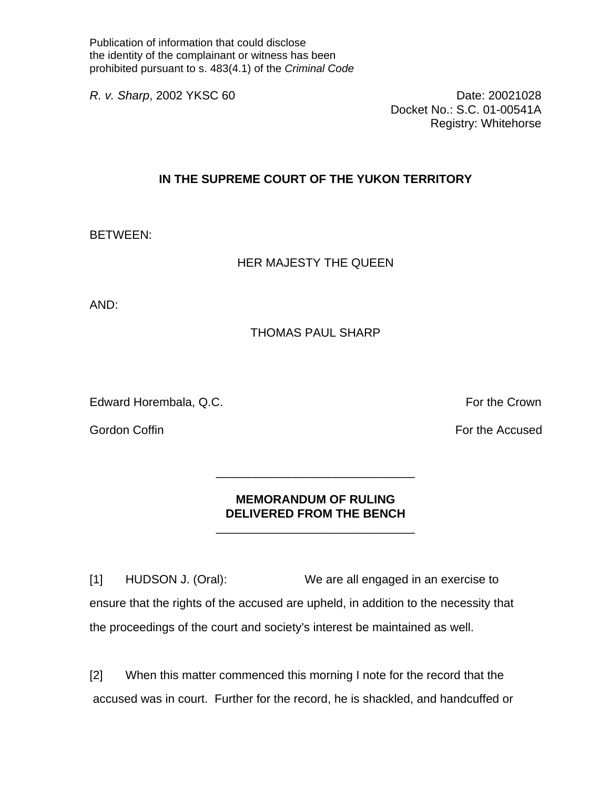Publication of information that could disclose the identity of the complainant or witness has been prohibited pursuant to s. 483(4.1) of the *Criminal Code* 

*R. v. Sharp*, 2002 YKSC 60 Date: 20021028 Docket No.: S.C. 01-00541A Registry: Whitehorse

## **IN THE SUPREME COURT OF THE YUKON TERRITORY**

BETWEEN:

## HER MAJESTY THE QUEEN

AND:

## THOMAS PAUL SHARP

Edward Horembala, Q.C. **For the Crown** 

Gordon Coffin For the Accused For the Accused For the Accused

## **MEMORANDUM OF RULING DELIVERED FROM THE BENCH**

 $\frac{1}{\sqrt{2}}$  ,  $\frac{1}{\sqrt{2}}$  ,  $\frac{1}{\sqrt{2}}$  ,  $\frac{1}{\sqrt{2}}$  ,  $\frac{1}{\sqrt{2}}$  ,  $\frac{1}{\sqrt{2}}$  ,  $\frac{1}{\sqrt{2}}$  ,  $\frac{1}{\sqrt{2}}$  ,  $\frac{1}{\sqrt{2}}$  ,  $\frac{1}{\sqrt{2}}$  ,  $\frac{1}{\sqrt{2}}$  ,  $\frac{1}{\sqrt{2}}$  ,  $\frac{1}{\sqrt{2}}$  ,  $\frac{1}{\sqrt{2}}$  ,  $\frac{1}{\sqrt{2}}$ 

 $\frac{1}{\sqrt{2}}$  ,  $\frac{1}{\sqrt{2}}$  ,  $\frac{1}{\sqrt{2}}$  ,  $\frac{1}{\sqrt{2}}$  ,  $\frac{1}{\sqrt{2}}$  ,  $\frac{1}{\sqrt{2}}$  ,  $\frac{1}{\sqrt{2}}$  ,  $\frac{1}{\sqrt{2}}$  ,  $\frac{1}{\sqrt{2}}$  ,  $\frac{1}{\sqrt{2}}$  ,  $\frac{1}{\sqrt{2}}$  ,  $\frac{1}{\sqrt{2}}$  ,  $\frac{1}{\sqrt{2}}$  ,  $\frac{1}{\sqrt{2}}$  ,  $\frac{1}{\sqrt{2}}$ 

[1] HUDSON J. (Oral): We are all engaged in an exercise to ensure that the rights of the accused are upheld, in addition to the necessity that the proceedings of the court and society's interest be maintained as well.

[2] When this matter commenced this morning I note for the record that the accused was in court. Further for the record, he is shackled, and handcuffed or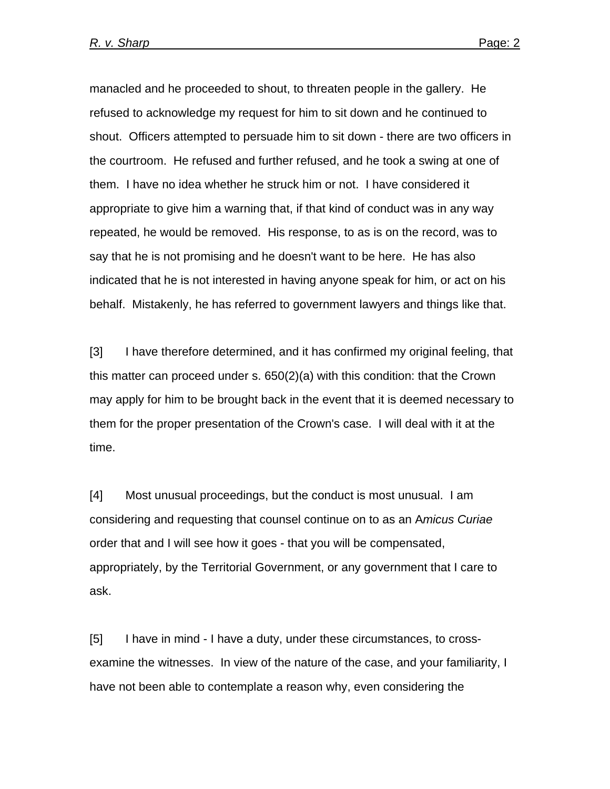manacled and he proceeded to shout, to threaten people in the gallery. He refused to acknowledge my request for him to sit down and he continued to shout. Officers attempted to persuade him to sit down - there are two officers in the courtroom. He refused and further refused, and he took a swing at one of them. I have no idea whether he struck him or not. I have considered it appropriate to give him a warning that, if that kind of conduct was in any way repeated, he would be removed. His response, to as is on the record, was to say that he is not promising and he doesn't want to be here. He has also indicated that he is not interested in having anyone speak for him, or act on his behalf. Mistakenly, he has referred to government lawyers and things like that.

[3] I have therefore determined, and it has confirmed my original feeling, that this matter can proceed under s. 650(2)(a) with this condition: that the Crown may apply for him to be brought back in the event that it is deemed necessary to them for the proper presentation of the Crown's case. I will deal with it at the time.

[4] Most unusual proceedings, but the conduct is most unusual. I am considering and requesting that counsel continue on to as an A*micus Curiae* order that and I will see how it goes - that you will be compensated, appropriately, by the Territorial Government, or any government that I care to ask.

[5] I have in mind - I have a duty, under these circumstances, to crossexamine the witnesses. In view of the nature of the case, and your familiarity, I have not been able to contemplate a reason why, even considering the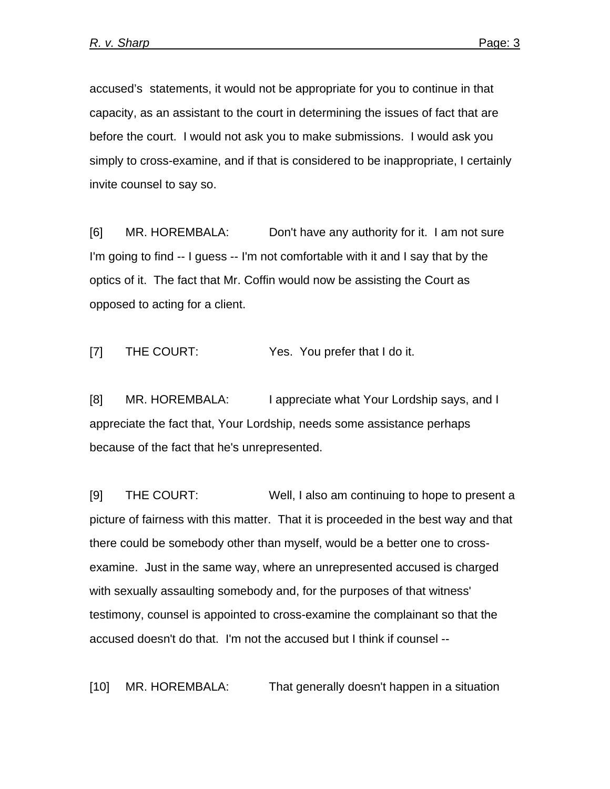accused's statements, it would not be appropriate for you to continue in that capacity, as an assistant to the court in determining the issues of fact that are before the court. I would not ask you to make submissions. I would ask you simply to cross-examine, and if that is considered to be inappropriate, I certainly invite counsel to say so.

[6] MR. HOREMBALA: Don't have any authority for it. I am not sure I'm going to find -- I guess -- I'm not comfortable with it and I say that by the optics of it. The fact that Mr. Coffin would now be assisting the Court as opposed to acting for a client.

[7] THE COURT: Yes. You prefer that I do it.

[8] MR. HOREMBALA: I appreciate what Your Lordship says, and I appreciate the fact that, Your Lordship, needs some assistance perhaps because of the fact that he's unrepresented.

[9] THE COURT: Well, I also am continuing to hope to present a picture of fairness with this matter. That it is proceeded in the best way and that there could be somebody other than myself, would be a better one to crossexamine. Just in the same way, where an unrepresented accused is charged with sexually assaulting somebody and, for the purposes of that witness' testimony, counsel is appointed to cross-examine the complainant so that the accused doesn't do that. I'm not the accused but I think if counsel --

[10] MR. HOREMBALA: That generally doesn't happen in a situation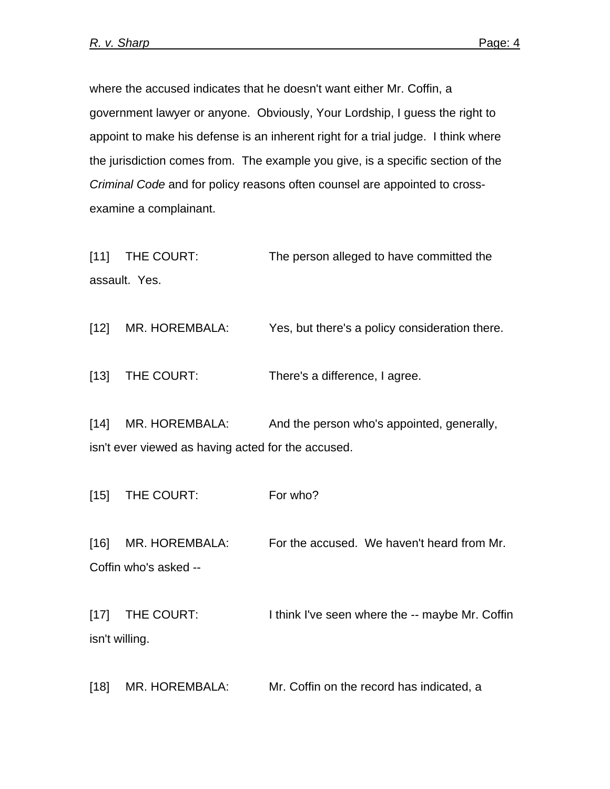where the accused indicates that he doesn't want either Mr. Coffin, a government lawyer or anyone. Obviously, Your Lordship, I guess the right to appoint to make his defense is an inherent right for a trial judge. I think where the jurisdiction comes from. The example you give, is a specific section of the *Criminal Code* and for policy reasons often counsel are appointed to crossexamine a complainant.

[11] THE COURT: The person alleged to have committed the assault. Yes.

[12] MR. HOREMBALA: Yes, but there's a policy consideration there.

[13] THE COURT: There's a difference, I agree.

[14] MR. HOREMBALA: And the person who's appointed, generally, isn't ever viewed as having acted for the accused.

[15] THE COURT: For who?

[16] MR. HOREMBALA: For the accused. We haven't heard from Mr. Coffin who's asked --

[17] THE COURT: I think I've seen where the -- maybe Mr. Coffin isn't willing.

[18] MR. HOREMBALA: Mr. Coffin on the record has indicated, a